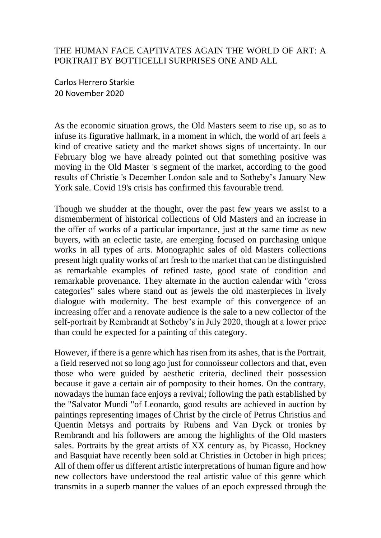## THE HUMAN FACE CAPTIVATES AGAIN THE WORLD OF ART: A PORTRAIT BY BOTTICELLI SURPRISES ONE AND ALL

Carlos Herrero Starkie 20 November 2020

As the economic situation grows, the Old Masters seem to rise up, so as to infuse its figurative hallmark, in a moment in which, the world of art feels a kind of creative satiety and the market shows signs of uncertainty. In our February blog we have already pointed out that something positive was moving in the Old Master 's segment of the market, according to the good results of Christie 's December London sale and to Sotheby's January New York sale. Covid 19's crisis has confirmed this favourable trend.

Though we shudder at the thought, over the past few years we assist to a dismemberment of historical collections of Old Masters and an increase in the offer of works of a particular importance, just at the same time as new buyers, with an eclectic taste, are emerging focused on purchasing unique works in all types of arts. Monographic sales of old Masters collections present high quality works of art fresh to the market that can be distinguished as remarkable examples of refined taste, good state of condition and remarkable provenance. They alternate in the auction calendar with "cross categories" sales where stand out as jewels the old masterpieces in lively dialogue with modernity. The best example of this convergence of an increasing offer and a renovate audience is the sale to a new collector of the self-portrait by Rembrandt at Sotheby's in July 2020, though at a lower price than could be expected for a painting of this category.

However, if there is a genre which has risen from its ashes, that is the Portrait, a field reserved not so long ago just for connoisseur collectors and that, even those who were guided by aesthetic criteria, declined their possession because it gave a certain air of pomposity to their homes. On the contrary, nowadays the human face enjoys a revival; following the path established by the "Salvator Mundi "of Leonardo, good results are achieved in auction by paintings representing images of Christ by the circle of Petrus Christius and Quentin Metsys and portraits by Rubens and Van Dyck or tronies by Rembrandt and his followers are among the highlights of the Old masters sales. Portraits by the great artists of XX century as, by Picasso, Hockney and Basquiat have recently been sold at Christies in October in high prices; All of them offer us different artistic interpretations of human figure and how new collectors have understood the real artistic value of this genre which transmits in a superb manner the values of an epoch expressed through the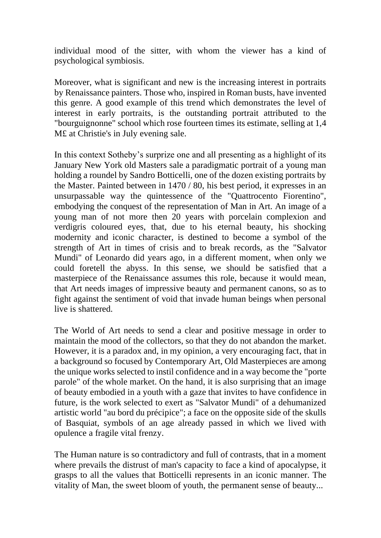individual mood of the sitter, with whom the viewer has a kind of psychological symbiosis.

Moreover, what is significant and new is the increasing interest in portraits by Renaissance painters. Those who, inspired in Roman busts, have invented this genre. A good example of this trend which demonstrates the level of interest in early portraits, is the outstanding portrait attributed to the "bourguignonne" school which rose fourteen times its estimate, selling at 1,4 M£ at Christie's in July evening sale.

In this context Sotheby's surprize one and all presenting as a highlight of its January New York old Masters sale a paradigmatic portrait of a young man holding a roundel by Sandro Botticelli, one of the dozen existing portraits by the Master. Painted between in 1470 / 80, his best period, it expresses in an unsurpassable way the quintessence of the "Quattrocento Fiorentino", embodying the conquest of the representation of Man in Art. An image of a young man of not more then 20 years with porcelain complexion and verdigris coloured eyes, that, due to his eternal beauty, his shocking modernity and iconic character, is destined to become a symbol of the strength of Art in times of crisis and to break records, as the "Salvator Mundi" of Leonardo did years ago, in a different moment, when only we could foretell the abyss. In this sense, we should be satisfied that a masterpiece of the Renaissance assumes this role, because it would mean, that Art needs images of impressive beauty and permanent canons, so as to fight against the sentiment of void that invade human beings when personal live is shattered.

The World of Art needs to send a clear and positive message in order to maintain the mood of the collectors, so that they do not abandon the market. However, it is a paradox and, in my opinion, a very encouraging fact, that in a background so focused by Contemporary Art, Old Masterpieces are among the unique works selected to instil confidence and in a way become the "porte parole" of the whole market. On the hand, it is also surprising that an image of beauty embodied in a youth with a gaze that invites to have confidence in future, is the work selected to exert as "Salvator Mundi" of a dehumanized artistic world "au bord du précipice"; a face on the opposite side of the skulls of Basquiat, symbols of an age already passed in which we lived with opulence a fragile vital frenzy.

The Human nature is so contradictory and full of contrasts, that in a moment where prevails the distrust of man's capacity to face a kind of apocalypse, it grasps to all the values that Botticelli represents in an iconic manner. The vitality of Man, the sweet bloom of youth, the permanent sense of beauty...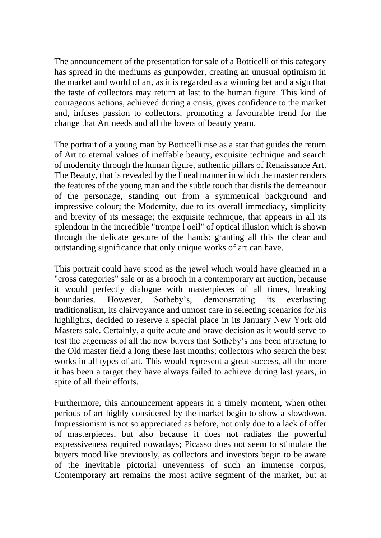The announcement of the presentation for sale of a Botticelli of this category has spread in the mediums as gunpowder, creating an unusual optimism in the market and world of art, as it is regarded as a winning bet and a sign that the taste of collectors may return at last to the human figure. This kind of courageous actions, achieved during a crisis, gives confidence to the market and, infuses passion to collectors, promoting a favourable trend for the change that Art needs and all the lovers of beauty yearn.

The portrait of a young man by Botticelli rise as a star that guides the return of Art to eternal values of ineffable beauty, exquisite technique and search of modernity through the human figure, authentic pillars of Renaissance Art. The Beauty, that is revealed by the lineal manner in which the master renders the features of the young man and the subtle touch that distils the demeanour of the personage, standing out from a symmetrical background and impressive colour; the Modernity, due to its overall immediacy, simplicity and brevity of its message; the exquisite technique, that appears in all its splendour in the incredible "trompe l oeil" of optical illusion which is shown through the delicate gesture of the hands; granting all this the clear and outstanding significance that only unique works of art can have.

This portrait could have stood as the jewel which would have gleamed in a "cross categories" sale or as a brooch in a contemporary art auction, because it would perfectly dialogue with masterpieces of all times, breaking boundaries. However, Sotheby's, demonstrating its everlasting traditionalism, its clairvoyance and utmost care in selecting scenarios for his highlights, decided to reserve a special place in its January New York old Masters sale. Certainly, a quite acute and brave decision as it would serve to test the eagerness of all the new buyers that Sotheby's has been attracting to the Old master field a long these last months; collectors who search the best works in all types of art. This would represent a great success, all the more it has been a target they have always failed to achieve during last years, in spite of all their efforts.

Furthermore, this announcement appears in a timely moment, when other periods of art highly considered by the market begin to show a slowdown. Impressionism is not so appreciated as before, not only due to a lack of offer of masterpieces, but also because it does not radiates the powerful expressiveness required nowadays; Picasso does not seem to stimulate the buyers mood like previously, as collectors and investors begin to be aware of the inevitable pictorial unevenness of such an immense corpus; Contemporary art remains the most active segment of the market, but at